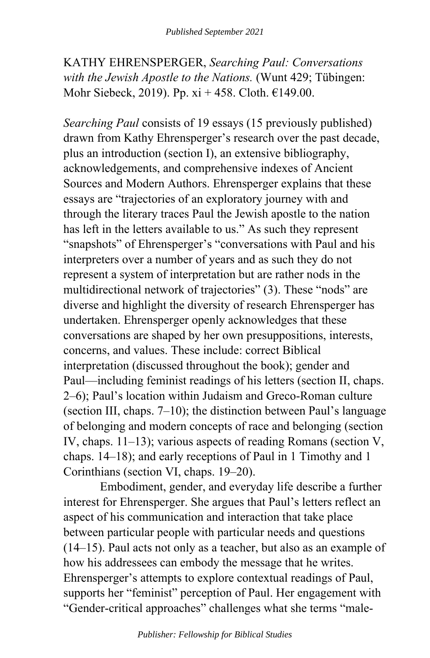KATHY EHRENSPERGER, *Searching Paul: Conversations with the Jewish Apostle to the Nations.* (Wunt 429; Tübingen: Mohr Siebeck, 2019). Pp. xi + 458. Cloth. €149.00.

*Searching Paul* consists of 19 essays (15 previously published) drawn from Kathy Ehrensperger's research over the past decade, plus an introduction (section I), an extensive bibliography, acknowledgements, and comprehensive indexes of Ancient Sources and Modern Authors. Ehrensperger explains that these essays are "trajectories of an exploratory journey with and through the literary traces Paul the Jewish apostle to the nation has left in the letters available to us." As such they represent "snapshots" of Ehrensperger's "conversations with Paul and his interpreters over a number of years and as such they do not represent a system of interpretation but are rather nods in the multidirectional network of trajectories" (3). These "nods" are diverse and highlight the diversity of research Ehrensperger has undertaken. Ehrensperger openly acknowledges that these conversations are shaped by her own presuppositions, interests, concerns, and values. These include: correct Biblical interpretation (discussed throughout the book); gender and Paul—including feminist readings of his letters (section II, chaps. 2–6); Paul's location within Judaism and Greco-Roman culture (section III, chaps.  $7-10$ ); the distinction between Paul's language of belonging and modern concepts of race and belonging (section IV, chaps. 11–13); various aspects of reading Romans (section V, chaps. 14–18); and early receptions of Paul in 1 Timothy and 1 Corinthians (section VI, chaps. 19–20).

Embodiment, gender, and everyday life describe a further interest for Ehrensperger. She argues that Paul's letters reflect an aspect of his communication and interaction that take place between particular people with particular needs and questions (14–15). Paul acts not only as a teacher, but also as an example of how his addressees can embody the message that he writes. Ehrensperger's attempts to explore contextual readings of Paul, supports her "feminist" perception of Paul. Her engagement with "Gender-critical approaches" challenges what she terms "male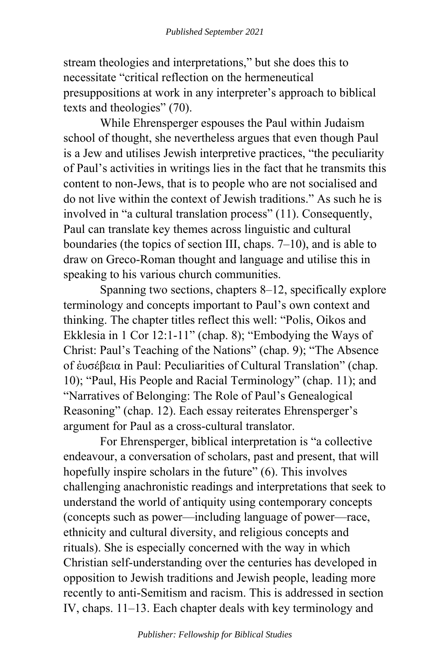stream theologies and interpretations," but she does this to necessitate "critical reflection on the hermeneutical presuppositions at work in any interpreter's approach to biblical texts and theologies" (70).

While Ehrensperger espouses the Paul within Judaism school of thought, she nevertheless argues that even though Paul is a Jew and utilises Jewish interpretive practices, "the peculiarity of Paul's activities in writings lies in the fact that he transmits this content to non-Jews, that is to people who are not socialised and do not live within the context of Jewish traditions." As such he is involved in "a cultural translation process" (11). Consequently, Paul can translate key themes across linguistic and cultural boundaries (the topics of section III, chaps. 7–10), and is able to draw on Greco-Roman thought and language and utilise this in speaking to his various church communities.

Spanning two sections, chapters 8–12, specifically explore terminology and concepts important to Paul's own context and thinking. The chapter titles reflect this well: "Polis, Oikos and Ekklesia in 1 Cor 12:1-11" (chap. 8); "Embodying the Ways of Christ: Paul's Teaching of the Nations" (chap. 9); "The Absence of ἐυσέβεια in Paul: Peculiarities of Cultural Translation" (chap. 10); "Paul, His People and Racial Terminology" (chap. 11); and "Narratives of Belonging: The Role of Paul's Genealogical Reasoning" (chap. 12). Each essay reiterates Ehrensperger's argument for Paul as a cross-cultural translator.

For Ehrensperger, biblical interpretation is "a collective endeavour, a conversation of scholars, past and present, that will hopefully inspire scholars in the future" (6). This involves challenging anachronistic readings and interpretations that seek to understand the world of antiquity using contemporary concepts (concepts such as power—including language of power—race, ethnicity and cultural diversity, and religious concepts and rituals). She is especially concerned with the way in which Christian self-understanding over the centuries has developed in opposition to Jewish traditions and Jewish people, leading more recently to anti-Semitism and racism. This is addressed in section IV, chaps. 11–13. Each chapter deals with key terminology and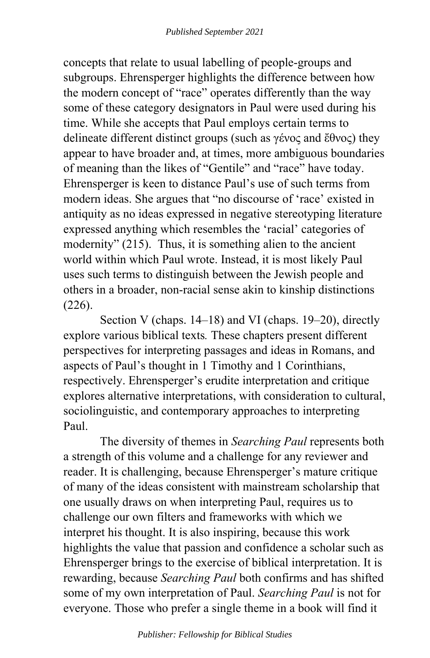concepts that relate to usual labelling of people-groups and subgroups. Ehrensperger highlights the difference between how the modern concept of "race" operates differently than the way some of these category designators in Paul were used during his time. While she accepts that Paul employs certain terms to delineate different distinct groups (such as γένος and ἔθνος) they appear to have broader and, at times, more ambiguous boundaries of meaning than the likes of "Gentile" and "race" have today. Ehrensperger is keen to distance Paul's use of such terms from modern ideas. She argues that "no discourse of 'race' existed in antiquity as no ideas expressed in negative stereotyping literature expressed anything which resembles the 'racial' categories of modernity" (215). Thus, it is something alien to the ancient world within which Paul wrote. Instead, it is most likely Paul uses such terms to distinguish between the Jewish people and others in a broader, non-racial sense akin to kinship distinctions (226).

Section V (chaps. 14–18) and VI (chaps. 19–20), directly explore various biblical texts*.* These chapters present different perspectives for interpreting passages and ideas in Romans, and aspects of Paul's thought in 1 Timothy and 1 Corinthians, respectively. Ehrensperger's erudite interpretation and critique explores alternative interpretations, with consideration to cultural, sociolinguistic, and contemporary approaches to interpreting Paul.

The diversity of themes in *Searching Paul* represents both a strength of this volume and a challenge for any reviewer and reader. It is challenging, because Ehrensperger's mature critique of many of the ideas consistent with mainstream scholarship that one usually draws on when interpreting Paul, requires us to challenge our own filters and frameworks with which we interpret his thought. It is also inspiring, because this work highlights the value that passion and confidence a scholar such as Ehrensperger brings to the exercise of biblical interpretation. It is rewarding, because *Searching Paul* both confirms and has shifted some of my own interpretation of Paul. *Searching Paul* is not for everyone. Those who prefer a single theme in a book will find it